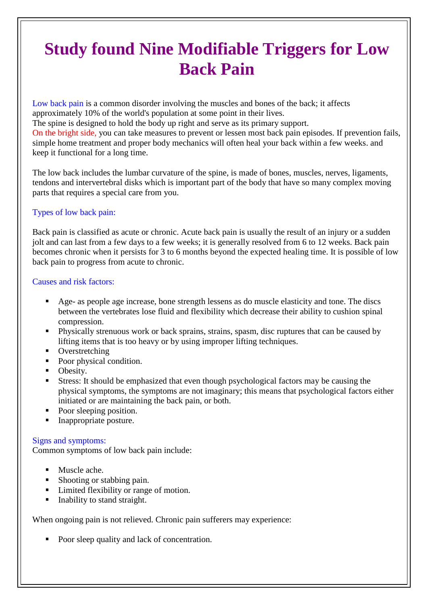# **Study found Nine Modifiable Triggers for Low Back Pain**

Low back pain is a common disorder involving the muscles and bones of the back; it affects approximately 10% of the world's population at some point in their lives. The spine is designed to hold the body up right and serve as its primary support. On the bright side, you can take measures to prevent or lessen most back pain episodes. If prevention fails, simple home treatment and proper body mechanics will often heal your back within a few weeks. and keep it functional for a long time.

The low back includes the lumbar curvature of the spine, is made of bones, muscles, nerves, ligaments, tendons and intervertebral disks which is important part of the body that have so many complex moving parts that requires a special care from you.

## Types of low back pain:

Back pain is classified as acute or chronic. Acute back pain is usually the result of an injury or a sudden jolt and can last from a few days to a few weeks; it is generally resolved from 6 to 12 weeks. Back pain becomes chronic when it persists for 3 to 6 months beyond the expected healing time. It is possible of low back pain to progress from acute to chronic.

### Causes and risk factors:

- Age- as people age increase, bone strength lessens as do muscle elasticity and tone. The discs between the vertebrates lose fluid and flexibility which decrease their ability to cushion spinal compression.
- **Physically strenuous work or back sprains, strains, spasm, disc ruptures that can be caused by** lifting items that is too heavy or by using improper lifting techniques.
- Overstretching
- Poor physical condition.
- Obesity.
- Stress: It should be emphasized that even though psychological factors may be causing the physical symptoms, the symptoms are not imaginary; this means that psychological factors either initiated or are maintaining the back pain, or both.
- Poor sleeping position.
- Inappropriate posture.

### Signs and symptoms:

Common symptoms of low back pain include:

- Muscle ache.
- Shooting or stabbing pain.
- Limited flexibility or range of motion.
- $\blacksquare$  Inability to stand straight.

When ongoing pain is not relieved. Chronic pain sufferers may experience:

Poor sleep quality and lack of concentration.